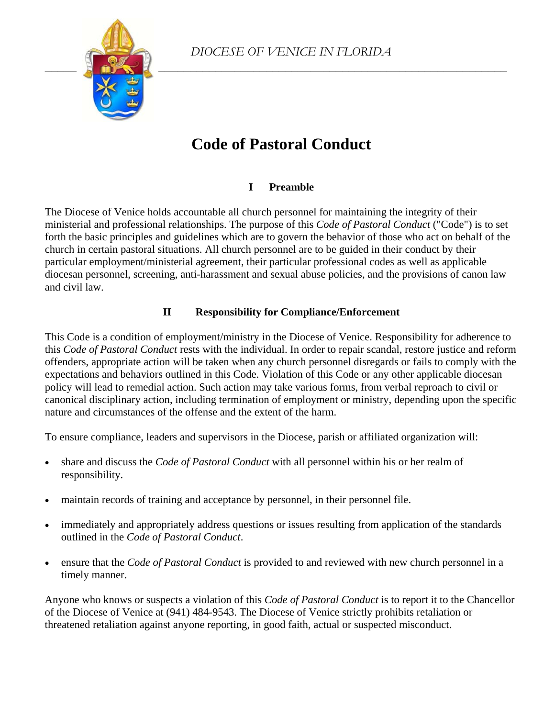

# **Code of Pastoral Conduct**

# **I Preamble**

The Diocese of Venice holds accountable all church personnel for maintaining the integrity of their ministerial and professional relationships. The purpose of this *Code of Pastoral Conduct* ("Code") is to set forth the basic principles and guidelines which are to govern the behavior of those who act on behalf of the church in certain pastoral situations. All church personnel are to be guided in their conduct by their particular employment/ministerial agreement, their particular professional codes as well as applicable diocesan personnel, screening, anti-harassment and sexual abuse policies, and the provisions of canon law and civil law.

# **II Responsibility for Compliance/Enforcement**

This Code is a condition of employment/ministry in the Diocese of Venice. Responsibility for adherence to this *Code of Pastoral Conduct* rests with the individual. In order to repair scandal, restore justice and reform offenders, appropriate action will be taken when any church personnel disregards or fails to comply with the expectations and behaviors outlined in this Code. Violation of this Code or any other applicable diocesan policy will lead to remedial action. Such action may take various forms, from verbal reproach to civil or canonical disciplinary action, including termination of employment or ministry, depending upon the specific nature and circumstances of the offense and the extent of the harm.

To ensure compliance, leaders and supervisors in the Diocese, parish or affiliated organization will:

- share and discuss the *Code of Pastoral Conduct* with all personnel within his or her realm of responsibility.
- maintain records of training and acceptance by personnel, in their personnel file.
- immediately and appropriately address questions or issues resulting from application of the standards outlined in the *Code of Pastoral Conduct*.
- ensure that the *Code of Pastoral Conduct* is provided to and reviewed with new church personnel in a timely manner.

Anyone who knows or suspects a violation of this *Code of Pastoral Conduct* is to report it to the Chancellor of the Diocese of Venice at (941) 484-9543. The Diocese of Venice strictly prohibits retaliation or threatened retaliation against anyone reporting, in good faith, actual or suspected misconduct.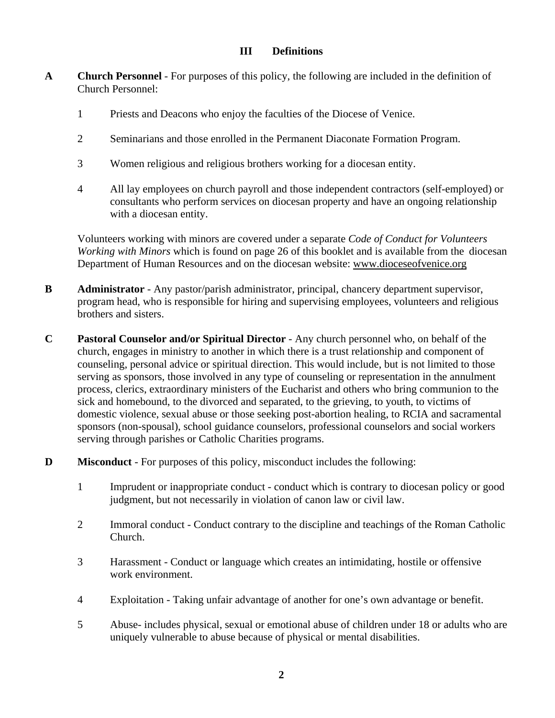# **III Definitions**

- **A Church Personnel**  For purposes of this policy, the following are included in the definition of Church Personnel:
	- 1 Priests and Deacons who enjoy the faculties of the Diocese of Venice.
	- 2 Seminarians and those enrolled in the Permanent Diaconate Formation Program.
	- 3 Women religious and religious brothers working for a diocesan entity.
	- 4 All lay employees on church payroll and those independent contractors (self-employed) or consultants who perform services on diocesan property and have an ongoing relationship with a diocesan entity.

 Volunteers working with minors are covered under a separate *Code of Conduct for Volunteers Working with Minors* which is found on page 26 of this booklet and is available from the diocesan Department of Human Resources and on the diocesan website: www.dioceseofvenice.org

- **B** Administrator Any pastor/parish administrator, principal, chancery department supervisor, program head, who is responsible for hiring and supervising employees, volunteers and religious brothers and sisters.
- **C Pastoral Counselor and/or Spiritual Director**  Any church personnel who, on behalf of the church, engages in ministry to another in which there is a trust relationship and component of counseling, personal advice or spiritual direction. This would include, but is not limited to those serving as sponsors, those involved in any type of counseling or representation in the annulment process, clerics, extraordinary ministers of the Eucharist and others who bring communion to the sick and homebound, to the divorced and separated, to the grieving, to youth, to victims of domestic violence, sexual abuse or those seeking post-abortion healing, to RCIA and sacramental sponsors (non-spousal), school guidance counselors, professional counselors and social workers serving through parishes or Catholic Charities programs.
- **D** Misconduct For purposes of this policy, misconduct includes the following:
	- 1 Imprudent or inappropriate conduct conduct which is contrary to diocesan policy or good judgment, but not necessarily in violation of canon law or civil law.
	- 2 Immoral conduct Conduct contrary to the discipline and teachings of the Roman Catholic Church.
	- 3 Harassment Conduct or language which creates an intimidating, hostile or offensive work environment.
	- 4 Exploitation Taking unfair advantage of another for one's own advantage or benefit.
	- 5 Abuse- includes physical, sexual or emotional abuse of children under 18 or adults who are uniquely vulnerable to abuse because of physical or mental disabilities.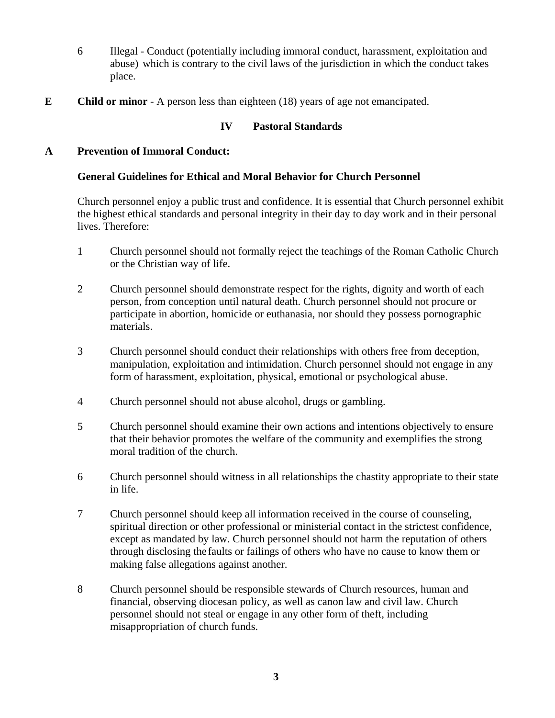- 6 Illegal Conduct (potentially including immoral conduct, harassment, exploitation and abuse) which is contrary to the civil laws of the jurisdiction in which the conduct takes place.
- **E Child or minor**  A person less than eighteen (18) years of age not emancipated.

# **IV Pastoral Standards**

## **A Prevention of Immoral Conduct:**

#### **General Guidelines for Ethical and Moral Behavior for Church Personnel**

 Church personnel enjoy a public trust and confidence. It is essential that Church personnel exhibit the highest ethical standards and personal integrity in their day to day work and in their personal lives. Therefore:

- 1 Church personnel should not formally reject the teachings of the Roman Catholic Church or the Christian way of life.
- 2 Church personnel should demonstrate respect for the rights, dignity and worth of each person, from conception until natural death. Church personnel should not procure or participate in abortion, homicide or euthanasia, nor should they possess pornographic materials.
- 3 Church personnel should conduct their relationships with others free from deception, manipulation, exploitation and intimidation. Church personnel should not engage in any form of harassment, exploitation, physical, emotional or psychological abuse.
- 4 Church personnel should not abuse alcohol, drugs or gambling.
- 5 Church personnel should examine their own actions and intentions objectively to ensure that their behavior promotes the welfare of the community and exemplifies the strong moral tradition of the church.
- 6 Church personnel should witness in all relationships the chastity appropriate to their state in life.
- 7 Church personnel should keep all information received in the course of counseling, spiritual direction or other professional or ministerial contact in the strictest confidence, except as mandated by law. Church personnel should not harm the reputation of others through disclosing the faults or failings of others who have no cause to know them or making false allegations against another.
- 8 Church personnel should be responsible stewards of Church resources, human and financial, observing diocesan policy, as well as canon law and civil law. Church personnel should not steal or engage in any other form of theft, including misappropriation of church funds.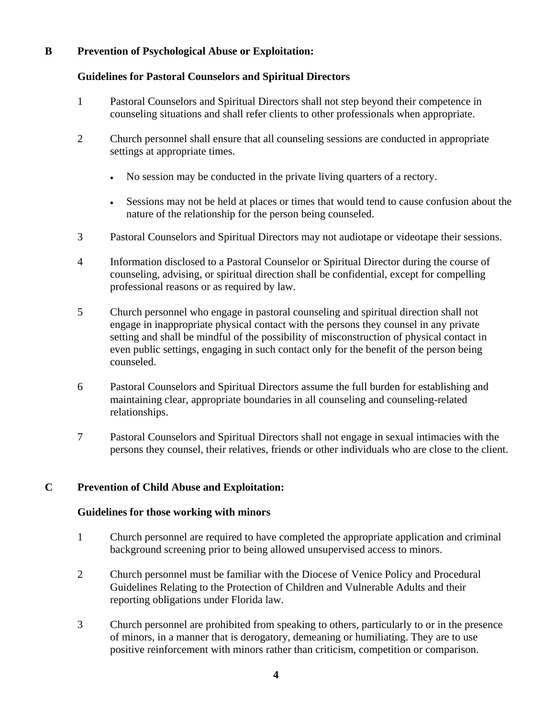# **B Prevention of Psychological Abuse or Exploitation:**

#### **Guidelines for Pastoral Counselors and Spiritual Directors**

- 1 Pastoral Counselors and Spiritual Directors shall not step beyond their competence in counseling situations and shall refer clients to other professionals when appropriate.
- 2 Church personnel shall ensure that all counseling sessions are conducted in appropriate settings at appropriate times.
	- No session may be conducted in the private living quarters of a rectory.
	- Sessions may not be held at places or times that would tend to cause confusion about the nature of the relationship for the person being counseled.
- 3 Pastoral Counselors and Spiritual Directors may not audiotape or videotape their sessions.
- 4 Information disclosed to a Pastoral Counselor or Spiritual Director during the course of counseling, advising, or spiritual direction shall be confidential, except for compelling professional reasons or as required by law.
- 5 Church personnel who engage in pastoral counseling and spiritual direction shall not engage in inappropriate physical contact with the persons they counsel in any private setting and shall be mindful of the possibility of misconstruction of physical contact in even public settings, engaging in such contact only for the benefit of the person being counseled.
- 6 Pastoral Counselors and Spiritual Directors assume the full burden for establishing and maintaining clear, appropriate boundaries in all counseling and counseling-related relationships.
- 7 Pastoral Counselors and Spiritual Directors shall not engage in sexual intimacies with the persons they counsel, their relatives, friends or other individuals who are close to the client.

# **C Prevention of Child Abuse and Exploitation:**

#### **Guidelines for those working with minors**

- 1 Church personnel are required to have completed the appropriate application and criminal background screening prior to being allowed unsupervised access to minors.
- 2 Church personnel must be familiar with the Diocese of Venice Policy and Procedural Guidelines Relating to the Protection of Children and Vulnerable Adults and their reporting obligations under Florida law.
- 3 Church personnel are prohibited from speaking to others, particularly to or in the presence of minors, in a manner that is derogatory, demeaning or humiliating. They are to use positive reinforcement with minors rather than criticism, competition or comparison.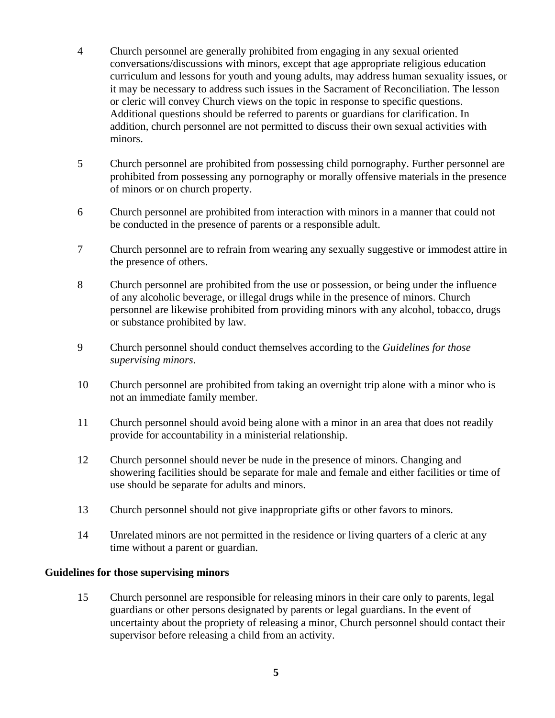- 4 Church personnel are generally prohibited from engaging in any sexual oriented conversations/discussions with minors, except that age appropriate religious education curriculum and lessons for youth and young adults, may address human sexuality issues, or it may be necessary to address such issues in the Sacrament of Reconciliation. The lesson or cleric will convey Church views on the topic in response to specific questions. Additional questions should be referred to parents or guardians for clarification. In addition, church personnel are not permitted to discuss their own sexual activities with minors.
- 5 Church personnel are prohibited from possessing child pornography. Further personnel are prohibited from possessing any pornography or morally offensive materials in the presence of minors or on church property.
- 6 Church personnel are prohibited from interaction with minors in a manner that could not be conducted in the presence of parents or a responsible adult.
- 7 Church personnel are to refrain from wearing any sexually suggestive or immodest attire in the presence of others.
- 8 Church personnel are prohibited from the use or possession, or being under the influence of any alcoholic beverage, or illegal drugs while in the presence of minors. Church personnel are likewise prohibited from providing minors with any alcohol, tobacco, drugs or substance prohibited by law.
- 9 Church personnel should conduct themselves according to the *Guidelines for those supervising minors*.
- 10 Church personnel are prohibited from taking an overnight trip alone with a minor who is not an immediate family member.
- 11 Church personnel should avoid being alone with a minor in an area that does not readily provide for accountability in a ministerial relationship.
- 12 Church personnel should never be nude in the presence of minors. Changing and showering facilities should be separate for male and female and either facilities or time of use should be separate for adults and minors.
- 13 Church personnel should not give inappropriate gifts or other favors to minors.
- 14 Unrelated minors are not permitted in the residence or living quarters of a cleric at any time without a parent or guardian.

#### **Guidelines for those supervising minors**

 15 Church personnel are responsible for releasing minors in their care only to parents, legal guardians or other persons designated by parents or legal guardians. In the event of uncertainty about the propriety of releasing a minor, Church personnel should contact their supervisor before releasing a child from an activity.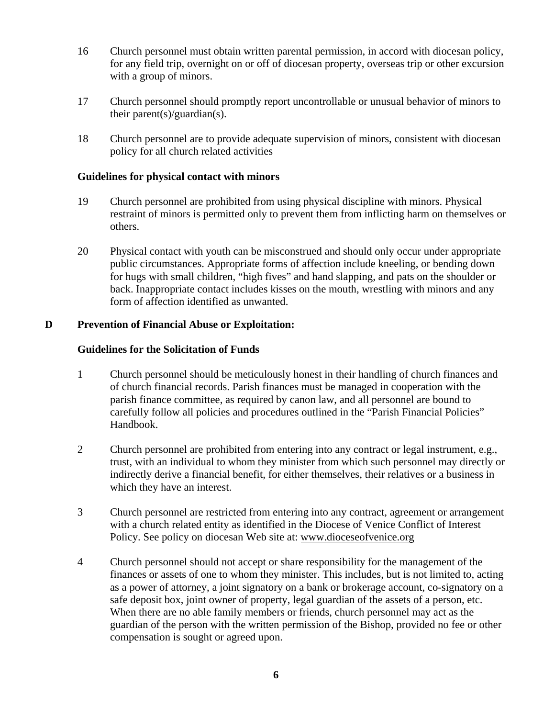- 16 Church personnel must obtain written parental permission, in accord with diocesan policy, for any field trip, overnight on or off of diocesan property, overseas trip or other excursion with a group of minors.
- 17 Church personnel should promptly report uncontrollable or unusual behavior of minors to their parent(s)/guardian(s).
- 18 Church personnel are to provide adequate supervision of minors, consistent with diocesan policy for all church related activities

## **Guidelines for physical contact with minors**

- 19 Church personnel are prohibited from using physical discipline with minors. Physical restraint of minors is permitted only to prevent them from inflicting harm on themselves or others.
- 20 Physical contact with youth can be misconstrued and should only occur under appropriate public circumstances. Appropriate forms of affection include kneeling, or bending down for hugs with small children, "high fives" and hand slapping, and pats on the shoulder or back. Inappropriate contact includes kisses on the mouth, wrestling with minors and any form of affection identified as unwanted.

#### **D Prevention of Financial Abuse or Exploitation:**

#### **Guidelines for the Solicitation of Funds**

- 1 Church personnel should be meticulously honest in their handling of church finances and of church financial records. Parish finances must be managed in cooperation with the parish finance committee, as required by canon law, and all personnel are bound to carefully follow all policies and procedures outlined in the "Parish Financial Policies" Handbook.
- 2 Church personnel are prohibited from entering into any contract or legal instrument, e.g., trust, with an individual to whom they minister from which such personnel may directly or indirectly derive a financial benefit, for either themselves, their relatives or a business in which they have an interest.
- 3 Church personnel are restricted from entering into any contract, agreement or arrangement with a church related entity as identified in the Diocese of Venice Conflict of Interest Policy. See policy on diocesan Web site at: www.dioceseofvenice.org
- 4 Church personnel should not accept or share responsibility for the management of the finances or assets of one to whom they minister. This includes, but is not limited to, acting as a power of attorney, a joint signatory on a bank or brokerage account, co-signatory on a safe deposit box, joint owner of property, legal guardian of the assets of a person, etc. When there are no able family members or friends, church personnel may act as the guardian of the person with the written permission of the Bishop, provided no fee or other compensation is sought or agreed upon.